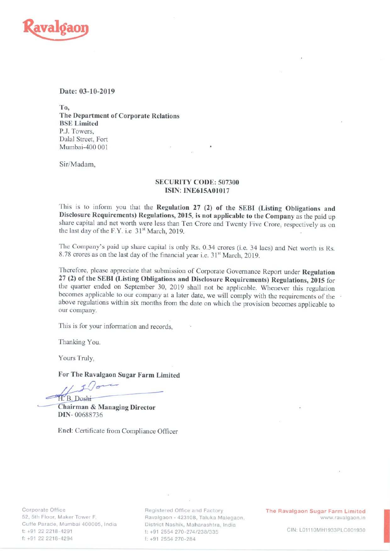

## Date: 03-10-2019

To, The Department of Corporate Relations BSE Limited P.J. Towers, Dalal Street, Fort Mumbai-400 001 '

Sir/Madam,

# SECURITY CODE: 507300 ISIN: INE615A01017

This is to inform you that the Regulation <sup>27</sup> (2) of the SEBI (Listing Obligations and Disclosure Requirements) Regulations, 2015, is not applicable to the Company as the paid up share capital and net worth were less than Ten Crore and Twenty Five Crore, respectively as on the last day of the F.Y. i.e  $31<sup>st</sup>$  March, 2019.

The Company's paid up share capital is only Rs. 0.34 crores (i.e. 34 lacs) and Net worth is Rs. 8.78 crores as on the last day of the financial year i.e. 31<sup>st</sup> March, 2019.

Therefore, please appreciate that submission of Corporate Governance Report under Regulation <sup>27</sup> (2) of the SEBI (Listing Obligations and Disclosure Requirements) Regulations, 20l5 for the quarter ended on September 30, <sup>2019</sup> shall not be applicable. Whenever this regulation becomes applicable to our company at a later date, we will comply with the requirements of the above regulations within six months from the date on which the provision becomes applicable to our company.

This is for your information and records,

Thanking You.

Yours Truly,

# gar Farm Li<br>————————————————————

For The Ravalgaon Sugar Farm Limited

H. B. Doshi<br>Chairman & Managing Director DIN— 00688736

Enel: Certificate from Compliance Officer

Corporate Office 52, 5th Floor, Maker Tower F, Cuffe Parade, Mumbai 400005, India t: +91 22 2218-4291 f: +91 22 2218-4294

Registered Office and Factory Ravalgaon - 423108, Taluka Malegaor District Nashik, Maharashtra, India t: +91 2554 270-274/238/335 f: +91 2554 270-284

The Ravalgaon Sugar Farm Limited www.ravalgaon.in

CIN: L01110MH1933PLC001930